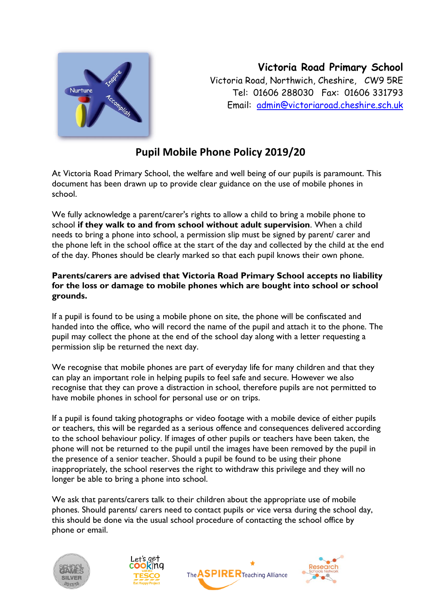

**Victoria Road Primary School** Victoria Road, Northwich, Cheshire, CW9 5RE Tel: 01606 288030 Fax: 01606 331793 Email: [admin@victoriaroad.cheshire.sch.uk](mailto:admin@victoriaroad.cheshire.sch.uk)

## **Pupil Mobile Phone Policy 2019/20**

At Victoria Road Primary School, the welfare and well being of our pupils is paramount. This document has been drawn up to provide clear guidance on the use of mobile phones in school.

We fully acknowledge a parent/carer's rights to allow a child to bring a mobile phone to school **if they walk to and from school without adult supervision**. When a child needs to bring a phone into school, a permission slip must be signed by parent/ carer and the phone left in the school office at the start of the day and collected by the child at the end of the day. Phones should be clearly marked so that each pupil knows their own phone.

### **Parents/carers are advised that Victoria Road Primary School accepts no liability for the loss or damage to mobile phones which are bought into school or school grounds.**

If a pupil is found to be using a mobile phone on site, the phone will be confiscated and handed into the office, who will record the name of the pupil and attach it to the phone. The pupil may collect the phone at the end of the school day along with a letter requesting a permission slip be returned the next day.

We recognise that mobile phones are part of everyday life for many children and that they can play an important role in helping pupils to feel safe and secure. However we also recognise that they can prove a distraction in school, therefore pupils are not permitted to have mobile phones in school for personal use or on trips.

If a pupil is found taking photographs or video footage with a mobile device of either pupils or teachers, this will be regarded as a serious offence and consequences delivered according to the school behaviour policy. If images of other pupils or teachers have been taken, the phone will not be returned to the pupil until the images have been removed by the pupil in the presence of a senior teacher. Should a pupil be found to be using their phone inappropriately, the school reserves the right to withdraw this privilege and they will no longer be able to bring a phone into school.

We ask that parents/carers talk to their children about the appropriate use of mobile phones. Should parents/ carers need to contact pupils or vice versa during the school day, this should be done via the usual school procedure of contacting the school office by phone or email.